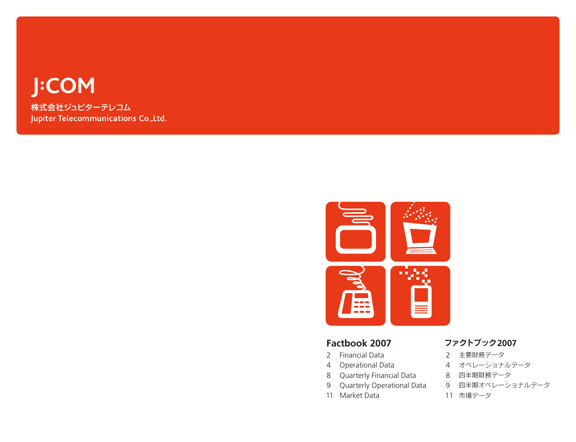

株式会社ジュピターテレコム Jupiter Telecommunications Co., Ltd.



- Financial Data
- Operational Data
- Quarterly Financial Data
- Quarterly Operational Data
- Market Data

# **Factbook 2007** ファクトブック**2007**

- 主要財務データ
- オペレーショナルデータ
- 四半期財務データ
- 四半期オペレーショナルデータ
- 市場データ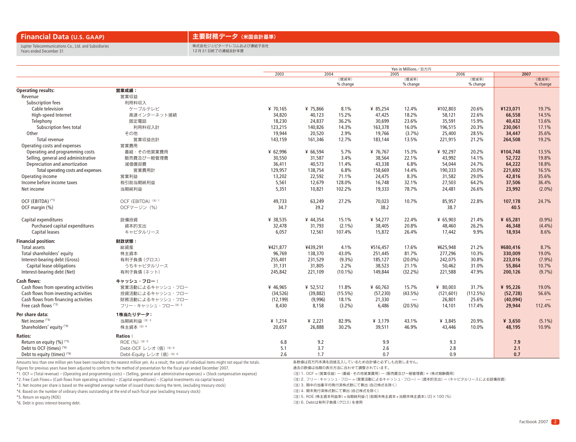## **Financial Data (U.S. GAAP)**

#### Jupiter Telecommunications Co., Ltd. and Subsidiaries Years ended December 31

## 主要財務データ (米国会計基準)

株式会社ジュピターテレコムおよび連結子会社 12月31日終了の連結会計年度

|                                      |                           |           | Yen in Millions/百万円 |            |           |                          |                   |             |           |                   |  |
|--------------------------------------|---------------------------|-----------|---------------------|------------|-----------|--------------------------|-------------------|-------------|-----------|-------------------|--|
|                                      |                           | 2003      | 2004                |            | 2005      |                          | 2006              |             | 2007      |                   |  |
|                                      |                           |           | (增減率)<br>% change   |            | (増減率)     |                          | (増減率)<br>% change |             |           | (増減率)<br>% change |  |
| <b>Operating results:</b>            | 営業成績:                     |           |                     |            |           | % change                 |                   |             |           |                   |  |
| Revenue                              | 営業収益                      |           |                     |            |           |                          |                   |             |           |                   |  |
| Subscription fees                    | 利用料収入                     |           |                     |            |           |                          |                   |             |           |                   |  |
| Cable television                     | ケーブルテレビ                   | ¥ 70,165  | ¥ 75,866            | 8.1%       | ¥ 85,254  | 12.4%                    | ¥102,803          | 20.6%       | ¥123,071  | 19.7%             |  |
| High-speed Internet                  | 高速インターネット接続               | 34,820    | 40,123              | 15.2%      | 47.425    | 18.2%                    | 58.121            | 22.6%       | 66,558    | 14.5%             |  |
|                                      |                           |           |                     |            |           |                          |                   |             |           | 13.6%             |  |
| Telephony                            | 固定電話                      | 18,230    | 24,837              | 36.2%      | 30,699    | 23.6%                    | 35,591            | 15.9%       | 40,432    |                   |  |
| Subscription fees total              | 利用料収入計                    | 123,215   | 140,826             | 14.3%      | 163,378   | 16.0%                    | 196,515           | 20.3%       | 230,061   | 17.1%             |  |
| Other                                | その他                       | 19,944    | 20,520              | 2.9%       | 19,766    | (3.7%)                   | 25,400            | 28.5%       | 34,447    | 35.6%             |  |
| Total revenue                        | 営業収益合計                    | 143,159   | 161,346             | 12.7%      | 183,144   | 13.5%                    | 221,915           | 21.2%       | 264,508   | 19.2%             |  |
| Operating costs and expenses         | 営業費用                      |           |                     |            |           |                          |                   |             |           |                   |  |
| Operating and programming costs      | 番組・その他営業費用                | ¥ 62,996  | ¥ 66,594            | 5.7%       | ¥ 76,767  | 15.3%                    | ¥ 92,297          | 20.2%       | ¥104,748  | 13.5%             |  |
| Selling, general and administrative  | 販売費及び一般管理費                | 30,550    | 31,587              | 3.4%       | 38,564    | 22.1%                    | 43,992            | 14.1%       | 52,722    | 19.8%             |  |
| Depreciation and amortization        | 減価償却費                     | 36,411    | 40,573              | 11.4%      | 43,338    | 6.8%                     | 54,044            | 24.7%       | 64,222    | 18.8%             |  |
| Total operating costs and expenses   | 営業費用計                     | 129,957   | 138,754             | 6.8%       | 158,669   | 14.4%                    | 190,333           | 20.0%       | 221,692   | 16.5%             |  |
| Operating income                     | 営業利益                      | 13,202    | 22,592              | 71.1%      | 24,475    | 8.3%                     | 31,582            | 29.0%       | 42,816    | 35.6%             |  |
| Income before income taxes           | 税引前当期純利益                  | 5,561     | 12,679              | 128.0%     | 16,748    | 32.1%                    | 27,503            | 64.2%       | 37,506    | 36.4%             |  |
| Net income                           | 当期純利益                     | 5,351     | 10,821              | 102.2%     | 19,333    | 78.7%                    | 24,481            | 26.6%       | 23,992    | $(2.0\%)$         |  |
| OCF (EBITDA) (*1)                    | OCF (EBITDA) (#) 1        | 49,733    | 63,249              | 27.2%      | 70,023    | 10.7%                    | 85,957            | 22.8%       | 107,178   | 24.7%             |  |
| OCF margin (%)                       | OCFマージン (%)               | 34.7      | 39.2                |            | 38.2      |                          | 38.7              |             | 40.5      |                   |  |
| Capital expenditures                 | 設備投資                      | ¥ 38,535  | ¥ 44,354            | 15.1%      | ¥ 54,277  | 22.4%                    | ¥ 65,903          | 21.4%       | ¥ 65,281  | $(0.9\%)$         |  |
| Purchased capital expenditures       | 資本的支出                     | 32,478    | 31,793              | $(2.1\%)$  | 38,405    | 20.8%                    | 48,460            | 26.2%       | 46,348    | (4.4%)            |  |
| <b>Capital leases</b>                | キャピタルリース                  | 6.057     | 12,561              | 107.4%     | 15,872    | 26.4%                    | 17.442            | 9.9%        | 18,934    | 8.6%              |  |
| <b>Financial position:</b>           | 財政状態:                     |           |                     |            |           |                          |                   |             |           |                   |  |
| <b>Total assets</b>                  | 総資産                       | ¥421,877  | ¥439,291            | 4.1%       | ¥516,457  | 17.6%                    | ¥625,948          | 21.2%       | ¥680,416  | 8.7%              |  |
| Total shareholders' equity           | 株主資本                      | 96,769    | 138,370             | 43.0%      | 251,445   | 81.7%                    | 277,296           | 10.3%       | 330,009   | 19.0%             |  |
| Interest-bearing debt (Gross)        | 有利子負債 (グロス)               | 255,401   | 231,529             | $(9.3\%)$  | 185,127   | $(20.0\%)$               | 242,075           | 30.8%       | 223,016   | $(7.9\%)$         |  |
| Capital lease obligations            | うちキャピタルリース                | 31,131    | 31,805              | 2.2%       | 38,523    | 21.1%                    | 50,462            | 31.0%       | 55,864    | 10.7%             |  |
| Interest-bearing debt (Net)          | 有利子負債 (ネット)               | 245,842   | 221,109             | $(10.1\%)$ | 149,844   | $(32.2\%)$               | 221,588           | 47.9%       | 200,126   | (9.7%)            |  |
| Cash flows:                          | キャッシュ・フロー:                |           |                     |            |           |                          |                   |             |           |                   |  |
| Cash flows from operating activities | 営業活動によるキャッシュ・フロー          | ¥ 46,965  | ¥ 52,512            | 11.8%      | ¥ 60,763  | 15.7%                    | ¥ 80.003          | 31.7%       | ¥ 95,226  | 19.0%             |  |
| Cash flows from investing activities | 投資活動によるキャッシュ・フロー          | (34, 526) | (39, 882)           | $(15.5\%)$ | (57, 230) | $(43.5\%)$               | (121, 601)        | $(112.5\%)$ | (52, 728) | 56.6%             |  |
| Cash flows from financing activities | 財務活動によるキャッシュ・フロー          | (12, 199) | (9,996)             | 18.1%      | 21,330    | $\overline{\phantom{m}}$ | 26,801            | 25.6%       | (40, 094) |                   |  |
| Free cash flows (*2)                 | フリー・キャッシュ・フロー(#) 2        | 8,430     | 8,158               | $(3.2\%)$  | 6,486     | $(20.5\%)$               | 14,101            | 117.4%      | 29,944    | 112.4%            |  |
| Per share data:                      | 1株当たりデータ:                 |           |                     |            |           |                          |                   |             |           |                   |  |
| Net income (*3)                      | 当期純利益(注) 3                | ¥ $1,214$ | ¥ 2,221             | 82.9%      | ¥ 3,179   | 43.1%                    | ¥ 3,845           | 20.9%       | ¥ 3,650   | $(5.1\%)$         |  |
| Shareholders' equity (*4)            | 株主資本(注) 4                 | 20,657    | 26,888              | 30.2%      | 39,511    | 46.9%                    | 43,446            | 10.0%       | 48,195    | 10.9%             |  |
| <b>Ratios:</b>                       | Ratios:                   |           |                     |            |           |                          |                   |             |           |                   |  |
| Return on equity (%) (*5)            | ROE (%) (#) 5             | 6.8       | 9.2                 |            | 9.9       |                          | 9.3               |             | 7.9       |                   |  |
| Debt to OCF (times) (*6)             | Debt-OCF レシオ (倍) (注) 6    | 5.1       | 3.7                 |            | 2.6       |                          | 2.8               |             | 2.1       |                   |  |
| Debt to equity (times) (*6)          | Debt-Equity レシオ (倍) (注) 6 | 2.6       | 1.7                 |            | 0.7       |                          | 0.9               |             | 0.7       |                   |  |

Amounts less than one million yen have been rounded to the nearest million yen. As a result, the sums of individual items might not equal the totals.

Figures for previous years have been adjusted to conform to the method of presentation for the fiscal year ended December 2007.

\*1. OCF = (Total revenue) – (Operating and programming costs) – (Selling, general and administrative expenses) + (Stock compensation expense)

\*2. Free Cash Flows= (Cash flows from operating activities) – (Capital expenditures) – (Capital investments via capital leases)

\*3. Net income per share is based on the weighted average number of issued shares during the term, (excluding treasury stock)

\*4. Based on the number of ordinary shares outstanding at the end of each fiscal year (excluding treasury stock)

\*5. Return on equity (ROE)

\*6. Debt is gross interest-bearing debt.

各数値は百万円未満を四捨五入しているため合計値と必ずしも合致しません。

過去の数値は当期の表示方法に合わせて調整されています。

(注) 1. OCF =(営業収益)ー(番組・その他営業費用)ー(販売費及び一般管理費)+(株式報酬費用)

(注) 2. フリー・キャッシュ・フロー = (営業活動によるキャッシュ・フロー) ー (資本的支出) ー (キャピタルリースによる設備投資)

(注) 3. 期中の加重平均発行済株式数にて算出(自己株式を除く)

(注) 4. 期末発行済株式数にて算出 (自己株式を除く)

(注) 5. ROE(株主資本利益率)=当期純利益 /{(前期末株主資本+当期末株主資本)/2}×100(%)

(注) 6. Debtは有利子負債(グロス)を使用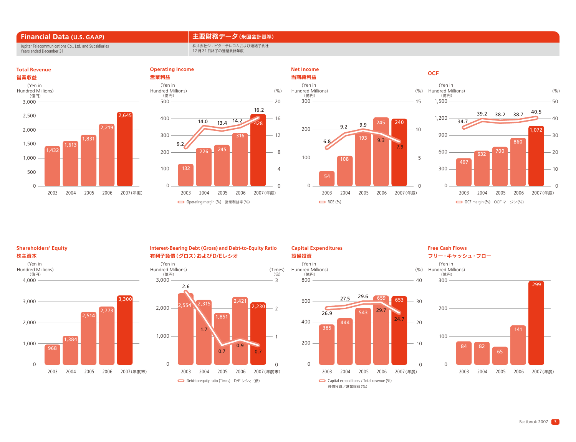## **Financial Data (U.S. GAAP)**

Jupiter Telecommunications Co., Ltd. and Subsidiaries Years ended December 31

## 主要財務データ (米国会計基準)

 $(%)$ 

**Net Income**

株式会社ジュピターテレコムおよび連結子会社

12月31日終了の連結会計年度









#### 38.7 39.2 38.2 40.5  $\Omega$ 300 600 900 1,200 1,500 2003 2004 2005 2006 2007 497 <sup>632</sup> <sup>700</sup> 860 1,072  $34.7$ **◯ OCF margin (%)** OCF マージン(%) (%) (Yen in Hundred Millions) (億円)  $\Omega$  $-10$  $-20$ 30  $-40$ 50 (年度)

#### **Shareholders' Equity** 株主資本



## **Interest-Bearing Debt (Gross) and Debt-to-Equity Ratio** 有利子負債(グロス)およびD/Eレシオ



## **Capital Expenditures** 設備投資





## **Free Cash Flows**

40  $(% )$  **OCF** 

#### フリー・キャッシュ・フロー (Yen in

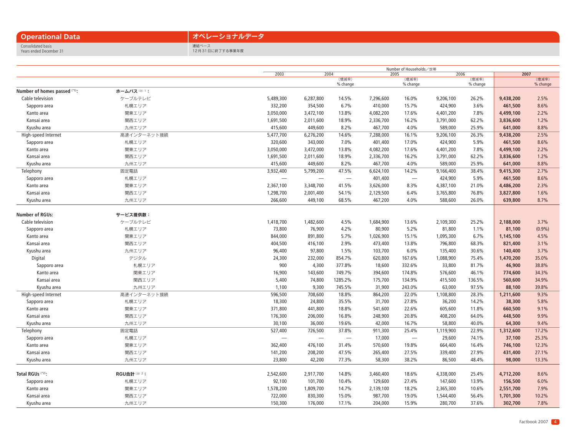## オペレーショナルデータ

Consolidated basis Years ended December 31

連結ベース 12月31日に終了する事業年度

|                              |             |                          | Number of Households/世帯  |                          |           |                          |           |                   |           |                   |  |
|------------------------------|-------------|--------------------------|--------------------------|--------------------------|-----------|--------------------------|-----------|-------------------|-----------|-------------------|--|
|                              |             | 2003                     |                          | 2004                     |           | 2005                     | 2006      |                   |           | 2007              |  |
|                              |             |                          |                          | (増減率)<br>% change        |           | (増減率)<br>% change        |           | (増減率)<br>% change |           | (增減率)<br>% change |  |
| Number of homes passed (*1): | ホームパス(注)!:  |                          |                          |                          |           |                          |           |                   |           |                   |  |
| Cable television             | ケーブルテレビ     | 5,489,300                | 6,287,800                | 14.5%                    | 7,296,600 | 16.0%                    | 9,206,100 | 26.2%             | 9,438,200 | 2.5%              |  |
| Sapporo area                 | 札幌エリア       | 332,200                  | 354,500                  | 6.7%                     | 410,000   | 15.7%                    | 424,900   | 3.6%              | 461,500   | 8.6%              |  |
| Kanto area                   | 関東エリア       | 3,050,000                | 3,472,100                | 13.8%                    | 4,082,200 | 17.6%                    | 4,401,200 | 7.8%              | 4,499,100 | 2.2%              |  |
| Kansai area                  | 関西エリア       | 1,691,500                | 2,011,600                | 18.9%                    | 2,336,700 | 16.2%                    | 3,791,000 | 62.2%             | 3,836,600 | 1.2%              |  |
| Kyushu area                  | 九州エリア       | 415,600                  | 449,600                  | 8.2%                     | 467,700   | 4.0%                     | 589,000   | 25.9%             | 641,000   | 8.8%              |  |
| High-speed Internet          | 高速インターネット接続 | 5,477,700                | 6,276,200                | 14.6%                    | 7,288,000 | 16.1%                    | 9,206,100 | 26.3%             | 9,438,200 | 2.5%              |  |
| Sapporo area                 | 札幌エリア       | 320,600                  | 343,000                  | 7.0%                     | 401,400   | 17.0%                    | 424,900   | 5.9%              | 461,500   | 8.6%              |  |
| Kanto area                   | 関東エリア       | 3,050,000                | 3,472,000                | 13.8%                    | 4,082,200 | 17.6%                    | 4,401,200 | 7.8%              | 4,499,100 | 2.2%              |  |
| Kansai area                  | 関西エリア       | 1,691,500                | 2,011,600                | 18.9%                    | 2,336,700 | 16.2%                    | 3,791,000 | 62.2%             | 3,836,600 | 1.2%              |  |
| Kyushu area                  | 九州エリア       | 415,600                  | 449,600                  | 8.2%                     | 467,700   | 4.0%                     | 589,000   | 25.9%             | 641,000   | 8.8%              |  |
| Telephony                    | 固定電話        | 3,932,400                | 5,799,200                | 47.5%                    | 6,624,100 | 14.2%                    | 9,166,400 | 38.4%             | 9,415,300 | 2.7%              |  |
| Sapporo area                 | 札幌エリア       | $\overline{\phantom{0}}$ | $\overline{\phantom{0}}$ | $\overline{\phantom{0}}$ | 401,400   | $\overline{\phantom{m}}$ | 424,900   | 5.9%              | 461,500   | 8.6%              |  |
| Kanto area                   | 関東エリア       | 2,367,100                | 3,348,700                | 41.5%                    | 3,626,000 | 8.3%                     | 4,387,100 | 21.0%             | 4,486,200 | 2.3%              |  |
| Kansai area                  | 関西エリア       | 1,298,700                | 2,001,400                | 54.1%                    | 2,129,500 | 6.4%                     | 3,765,800 | 76.8%             | 3,827,800 | 1.6%              |  |
| Kyushu area                  | 九州エリア       | 266,600                  | 449,100                  | 68.5%                    | 467,200   | 4.0%                     | 588,600   | 26.0%             | 639,800   | 8.7%              |  |
|                              |             |                          |                          |                          |           |                          |           |                   |           |                   |  |
| <b>Number of RGUs:</b>       | サービス提供数:    |                          |                          |                          |           |                          |           |                   |           |                   |  |
| Cable television             | ケーブルテレビ     | 1,418,700                | 1,482,600                | 4.5%                     | 1,684,900 | 13.6%                    | 2,109,300 | 25.2%             | 2,188,000 | 3.7%              |  |
| Sapporo area                 | 札幌エリア       | 73,800                   | 76,900                   | 4.2%                     | 80,900    | 5.2%                     | 81,800    | 1.1%              | 81,100    | $(0.9\%)$         |  |
| Kanto area                   | 関東エリア       | 844,000                  | 891,800                  | 5.7%                     | 1,026,900 | 15.1%                    | 1,095,300 | 6.7%              | 1,145,100 | 4.5%              |  |
| Kansai area                  | 関西エリア       | 404,500                  | 416,100                  | 2.9%                     | 473,400   | 13.8%                    | 796,800   | 68.3%             | 821,400   | 3.1%              |  |
| Kyushu area                  | 九州エリア       | 96,400                   | 97,800                   | 1.5%                     | 103,700   | 6.0%                     | 135,400   | 30.6%             | 140,400   | 3.7%              |  |
| Digital                      | デジタル        | 24,300                   | 232,000                  | 854.7%                   | 620,800   | 167.6%                   | 1,088,900 | 75.4%             | 1,470,200 | 35.0%             |  |
| Sapporo area                 | 札幌エリア       | 900                      | 4,300                    | 377.8%                   | 18,600    | 332.6%                   | 33,800    | 81.7%             | 46,900    | 38.8%             |  |
| Kanto area                   | 関東エリア       | 16,900                   | 143,600                  | 749.7%                   | 394,600   | 174.8%                   | 576,600   | 46.1%             | 774,600   | 34.3%             |  |
| Kansai area                  | 関西エリア       | 5,400                    | 74,800                   | 1285.2%                  | 175,700   | 134.9%                   | 415,500   | 136.5%            | 560,600   | 34.9%             |  |
| Kyushu area                  | 九州エリア       | 1,100                    | 9,300                    | 745.5%                   | 31,900    | 243.0%                   | 63,000    | 97.5%             | 88,100    | 39.8%             |  |
| High-speed Internet          | 高速インターネット接続 | 596,500                  | 708,600                  | 18.8%                    | 864,200   | 22.0%                    | 1,108,800 | 28.3%             | 1,211,600 | 9.3%              |  |
| Sapporo area                 | 札幌エリア       | 18,300                   | 24,800                   | 35.5%                    | 31,700    | 27.8%                    | 36,200    | 14.2%             | 38,300    | 5.8%              |  |
| Kanto area                   | 関東エリア       | 371,800                  | 441,800                  | 18.8%                    | 541,600   | 22.6%                    | 605,600   | 11.8%             | 660,500   | 9.1%              |  |
| Kansai area                  | 関西エリア       | 176,300                  | 206,000                  | 16.8%                    | 248,900   | 20.8%                    | 408,200   | 64.0%             | 448,500   | 9.9%              |  |
| Kyushu area                  | 九州エリア       | 30,100                   | 36,000                   | 19.6%                    | 42,000    | 16.7%                    | 58,800    | 40.0%             | 64,300    | 9.4%              |  |
| Telephony                    | 固定電話        | 527,400                  | 726,500                  | 37.8%                    | 911,300   | 25.4%                    | 1,119,900 | 22.9%             | 1,312,600 | 17.2%             |  |
| Sapporo area                 | 札幌エリア       | $\overline{\phantom{0}}$ | $\overline{\phantom{m}}$ | $\overline{\phantom{m}}$ | 17,000    | $\overline{\phantom{m}}$ | 29,600    | 74.1%             | 37,100    | 25.3%             |  |
| Kanto area                   | 関東エリア       | 362,400                  | 476,100                  | 31.4%                    | 570,600   | 19.8%                    | 664,400   | 16.4%             | 746,100   | 12.3%             |  |
| Kansai area                  | 関西エリア       | 141,200                  | 208,200                  | 47.5%                    | 265,400   | 27.5%                    | 339,400   | 27.9%             | 431,400   | 27.1%             |  |
| Kyushu area                  | 九州エリア       | 23,800                   | 42,200                   | 77.3%                    | 58,300    | 38.2%                    | 86,500    | 48.4%             | 98,000    | 13.3%             |  |
|                              |             |                          |                          |                          |           |                          |           |                   |           |                   |  |
| Total RGUs (*2):             | RGU合計(注) 2: | 2,542,600                | 2,917,700                | 14.8%                    | 3,460,400 | 18.6%                    | 4,338,000 | 25.4%             | 4,712,200 | 8.6%              |  |
| Sapporo area                 | 札幌エリア       | 92,100                   | 101,700                  | 10.4%                    | 129,600   | 27.4%                    | 147,600   | 13.9%             | 156,500   | 6.0%              |  |
| Kanto area                   | 関東エリア       | 1,578,200                | 1,809,700                | 14.7%                    | 2,139,100 | 18.2%                    | 2,365,300 | 10.6%             | 2,551,700 | 7.9%              |  |
| Kansai area                  | 関西エリア       | 722,000                  | 830,300                  | 15.0%                    | 987,700   | 19.0%                    | 1,544,400 | 56.4%             | 1,701,300 | 10.2%             |  |
| Kyushu area                  | 九州エリア       | 150,300                  | 176,000                  | 17.1%                    | 204,000   | 15.9%                    | 280,700   | 37.6%             | 302,700   | 7.8%              |  |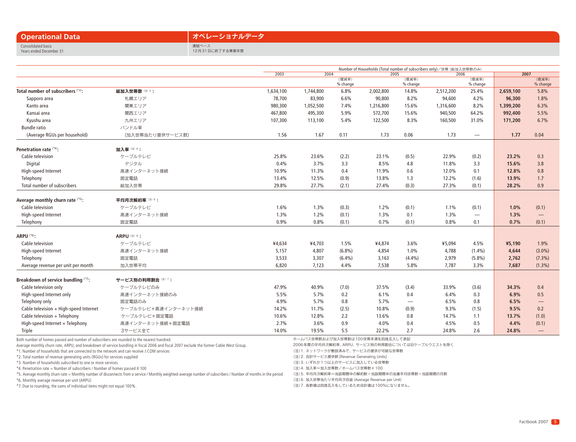Consolidated basis Years ended December 31

## オペレーショナルデータ

連結ベース 12月31日に終了する事業年度

|                                        |                     | Number of Households (Total number of subscribers only)/世帯 (総加入世帯数のみ) |                      |                   |           |                          |           |                          |           |                          |  |
|----------------------------------------|---------------------|-----------------------------------------------------------------------|----------------------|-------------------|-----------|--------------------------|-----------|--------------------------|-----------|--------------------------|--|
|                                        |                     | 2003                                                                  | 2004<br>2005<br>2006 |                   |           |                          |           |                          |           | 2007                     |  |
|                                        |                     |                                                                       |                      | (增減率)<br>% change |           | (增減率)<br>% change        |           | (增減率)<br>% change        |           | (増減率)<br>% change        |  |
| Total number of subscribers (*3):      | 総加入世帯数(注) 3:        | 1,634,100                                                             | 1,744,800            | 6.8%              | 2,002,800 | 14.8%                    | 2,512,200 | 25.4%                    | 2,659,100 | 5.8%                     |  |
| Sapporo area                           | 札幌エリア               | 78,700                                                                | 83,900               | 6.6%              | 90,800    | 8.2%                     | 94,600    | 4.2%                     | 96,300    | 1.8%                     |  |
| Kanto area                             | 関東エリア               | 980,300                                                               | 1,052,500            | 7.4%              | 1,216,800 | 15.6%                    | 1,316,600 | 8.2%                     | 1,399,200 | 6.3%                     |  |
| Kansai area                            | 関西エリア               | 467.800                                                               | 495,300              | 5.9%              | 572,700   | 15.6%                    | 940,500   | 64.2%                    | 992,400   | 5.5%                     |  |
| Kyushu area                            | 九州エリア               | 107,300                                                               | 113,100              | 5.4%              | 122,500   | 8.3%                     | 160,500   | 31.0%                    | 171,200   | 6.7%                     |  |
| <b>Bundle ratio</b>                    | バンドル率               |                                                                       |                      |                   |           |                          |           |                          |           |                          |  |
| (Average RGUs per household)           | (加入世帯当たり提供サービス数)    | 1.56                                                                  | 1.67                 | 0.11              | 1.73      | 0.06                     | 1.73      | $\overline{\phantom{0}}$ | 1.77      | 0.04                     |  |
| Penetration rate (*4):                 | 加入率(注) 4:           |                                                                       |                      |                   |           |                          |           |                          |           |                          |  |
| Cable television                       | ケーブルテレビ             | 25.8%                                                                 | 23.6%                | (2.2)             | 23.1%     | (0.5)                    | 22.9%     | (0.2)                    | 23.2%     | 0.3                      |  |
| Digital                                | デジタル                | 0.4%                                                                  | 3.7%                 | 3.3               | 8.5%      | 4.8                      | 11.8%     | 3.3                      | 15.6%     | 3.8                      |  |
| High-speed Internet                    | 高速インターネット接続         | 10.9%                                                                 | 11.3%                | 0.4               | 11.9%     | 0.6                      | 12.0%     | 0.1                      | 12.8%     | 0.8                      |  |
| Telephony                              | 固定電話                | 13.4%                                                                 | 12.5%                | (0.9)             | 13.8%     | 1.3                      | 12.2%     | (1.6)                    | 13.9%     | 1.7                      |  |
| Total number of subscribers            | 総加入世帯               | 29.8%                                                                 | 27.7%                | (2.1)             | 27.4%     | (0.3)                    | 27.3%     | (0.1)                    | 28.2%     | 0.9                      |  |
|                                        |                     |                                                                       |                      |                   |           |                          |           |                          |           |                          |  |
| Average monthly churn rate (*5):       | 平均月次解約率(注)5:        |                                                                       |                      |                   |           |                          |           |                          |           |                          |  |
| Cable television                       | ケーブルテレビ             | 1.6%                                                                  | 1.3%                 | (0.3)             | 1.2%      | (0.1)                    | 1.1%      | (0.1)                    | 1.0%      | (0.1)                    |  |
| High-speed Internet                    | 高速インターネット接続         | 1.3%                                                                  | 1.2%                 | (0.1)             | 1.3%      | 0.1                      | 1.3%      | $\overline{\phantom{m}}$ | 1.3%      | $\overline{\phantom{m}}$ |  |
| Telephony                              | 固定電話                | 0.9%                                                                  | 0.8%                 | (0.1)             | 0.7%      | (0.1)                    | 0.8%      | 0.1                      | 0.7%      | (0.1)                    |  |
| ARPU (*6):                             | ARPU (注) 6:         |                                                                       |                      |                   |           |                          |           |                          |           |                          |  |
| Cable television                       | ケーブルテレビ             | ¥4,634                                                                | ¥4,703               | 1.5%              | ¥4,874    | 3.6%                     | ¥5,094    | 4.5%                     | ¥5,190    | 1.9%                     |  |
| High-speed Internet                    | 高速インターネット接続         | 5,157                                                                 | 4,807                | (6.8%)            | 4,854     | 1.0%                     | 4,788     | $(1.4\%)$                | 4,644     | $(3.0\%)$                |  |
| Telephony                              | 固定電話                | 3,533                                                                 | 3,307                | $(6.4\%)$         | 3,163     | (4.4%)                   | 2,979     | $(5.8\%)$                | 2,762     | $(7.3\%)$                |  |
| Average revenue per unit per month     | 加入世帯平均              | 6,820                                                                 | 7,123                | 4.4%              | 7,538     | 5.8%                     | 7,787     | 3.3%                     | 7,687     | $(1.3\%)$                |  |
|                                        |                     |                                                                       |                      |                   |           |                          |           |                          |           |                          |  |
| Breakdown of service bundling (*7):    | サービス別の利用割合 (注) 7:   |                                                                       |                      |                   |           |                          |           |                          |           |                          |  |
| Cable television only                  | ケーブルテレビのみ           | 47.9%                                                                 | 40.9%<br>5.7%        | (7.0)             | 37.5%     | (3.4)                    | 33.9%     | (3.6)                    | 34.3%     | 0.4                      |  |
| High-speed Internet only               | 高速インターネット接続のみ       | 5.5%                                                                  |                      | 0.2               | 6.1%      | 0.4                      | 6.4%      | 0.3                      | 6.9%      | 0.5                      |  |
| Telephony only                         | 固定電話のみ              | 4.9%                                                                  | 5.7%                 | 0.8               | 5.7%      | $\overline{\phantom{m}}$ | 6.5%      | 0.8                      | 6.5%      | $\overline{\phantom{m}}$ |  |
| Cable television + High-speed Internet | ケーブルテレビ+高速インターネット接続 | 14.2%                                                                 | 11.7%                | (2.5)             | 10.8%     | (0.9)                    | 9.3%      | (1.5)                    | 9.5%      | 0.2                      |  |
| Cable television + Telephony           | ケーブルテレビ+固定電話        | 10.6%                                                                 | 12.8%                | 2.2               | 13.6%     | 0.8                      | 14.7%     | 1.1                      | 13.7%     | (1.0)                    |  |
| High-speed Internet + Telephony        | 高速インターネット接続+固定電話    | 2.7%                                                                  | 3.6%                 | 0.9               | 4.0%      | 0.4                      | 4.5%      | 0.5                      | 4.4%      | (0.1)                    |  |
| Triple                                 | 3サービス全て             | 14.0%                                                                 | 19.5%                | 5.5               | 22.2%     | 2.7                      | 24.8%     | 2.6                      | 24.8%     | $\overline{\phantom{0}}$ |  |

Both number of homes passed and number of subscribers are rounded to the nearest hundred.

Average monthly churn rate, ARPU, and breakdown of service bundling in fiscal 2006 and fiscal 2007 exclude the former Cable West Group.

\*1. Number of households that are connected to the network and can receive J:COM services

\*2. Total number of revenue generating units (RGUs) for services supplied

\*3. Number of households subscribed to one or more services

 $*4$ . Penetration rate = Number of subscribers / Number of homes passed X 100

\*5. Average monthly churn rate = Monthly number of disconnects from a service / Monthly weighted-average number of subscribers / Number of months in the period

\*6. Monthly average revenue per unit (ARPU)

\*7. Due to rounding, the sums of individual items might not equal 100%.

ホームパス世帯数および加入世帯数は100世帯未満を四捨五入して表記

2006年度の平均月次解約率、ARPU、サービス別の利用割合については旧ケーブルウエストを除く

(注)1. ネットワークが敷設済みで、サービスの提供が可能な世帯数

(注)2. 合計サービス提供数 (Revenue Generating Units)

(注)3. いずれか1つ以上のサービスに加入している世帯数

(注)4. 加入率=加入世帯数/ホームパス世帯数×100

(注)5. 平均月次解約率=当該期間中の解約数÷当該期間中の加重平均世帯数÷当該期間の月数

(注)6. 加入世帯当たり平均月次収益(Average Revenue per Unit)

(注)7. 各数値は四捨五入をしているため合計値は100%になりません。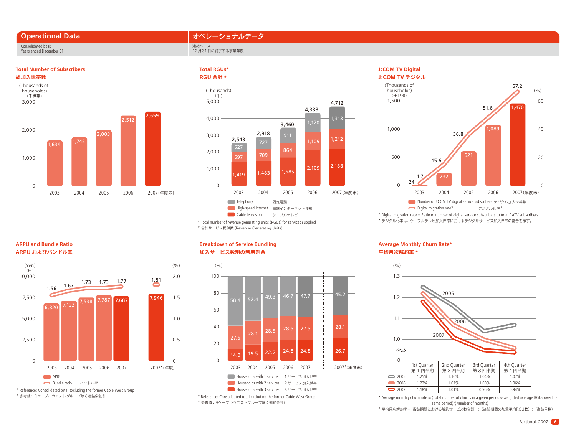# オペレーショナルデータ

連結ベース 12月31日に終了する事業年度

#### **Total Number of Subscribers**

Consolidated basis Years ended December 31





#### **Total RGUs\*** RGU 合計 **\***



\* Total number of revenue generating units (RGUs) for services supplied \* 合計サービス提供数(Revenue Generating Units)

#### **Breakdown of Service Bundling** 加入サービス数別の利用割合



## **J:COM TV Digital**



\* Digital migration rate = Ratio of number of digital service subscribers to total CATV subscribers \* デジタル化率は、ケーブルテレビ加入世帯におけるデジタルサービス加入世帯の割合を示す。

#### **Average Monthly Churn Rate\*** 平均月次解約率 **\***



\* Average monthly churn rate = (Total number of churns in a given period)/(weighted average RGUs over the same period)/(Number of months)

\* 平均月次解約率=(当該期間における解約サービス数合計)÷(当該期間の加重平均RGU数)÷(当該月数)

### **ARPU and Bundle Ratio** ARPU およびバンドル率

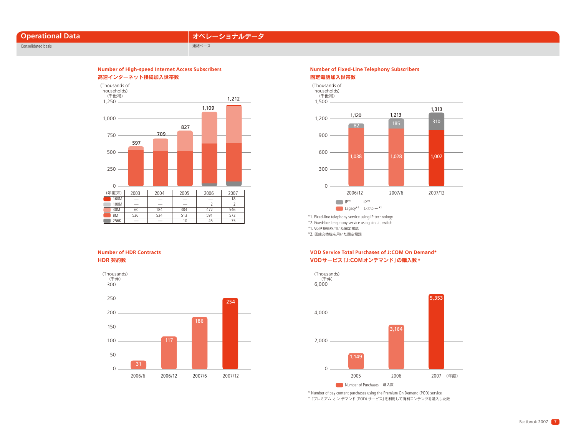Consolidated basis

## オペレーショナルデータ

連結ベース



### **Number of High-speed Internet Access Subscribers** 高速インターネット接続加入世帯数

### **Number of HDR Contracts** HDR 契約数



### **Number of Fixed-Line Telephony Subscribers** 固定電話加入世帯数



\*1. Fixed-line telephony service using IP technology

\*2. Fixed-line telephony service using circuit switch

\*1. VoIP技術を用いた固定電話

\*2. 回線交換機を用いた固定電話

#### **VOD Service Total Purchases of J:COM On Demand\*** VODサービス「J:COMオンデマンド」の購入数**\***



6,000



\* Number of pay content purchases using the Premium On Demand (POD) service \*「プレミアム オン デマンド(POD)サービス」を利用して有料コンテンツを購入した数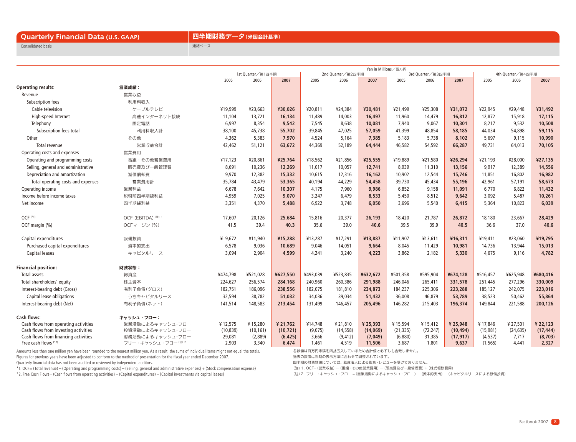## 四半期財務データ(米国会計基準)

連結ベース

Consolidated basis

|                                      |                    | Yen in Millions/百万円 |                   |           |          |                   |          |                   |           |           |           |                   |           |  |  |
|--------------------------------------|--------------------|---------------------|-------------------|-----------|----------|-------------------|----------|-------------------|-----------|-----------|-----------|-------------------|-----------|--|--|
|                                      |                    |                     | 1st Quarter/第1四半期 |           |          | 2nd Quarter/第2四半期 |          | 3rd Quarter/第3四半期 |           |           |           | 4th Quarter/第4四半期 |           |  |  |
|                                      |                    | 2005                | 2006              | 2007      | 2005     | 2006              | 2007     | 2005              | 2006      | 2007      | 2005      | 2006              | 2007      |  |  |
| <b>Operating results:</b>            | 営業成績:              |                     |                   |           |          |                   |          |                   |           |           |           |                   |           |  |  |
| Revenue                              | 営業収益               |                     |                   |           |          |                   |          |                   |           |           |           |                   |           |  |  |
| Subscription fees                    | 利用料収入              |                     |                   |           |          |                   |          |                   |           |           |           |                   |           |  |  |
| Cable television                     | ケーブルテレビ            | ¥19,999             | ¥23,663           | ¥30,026   | ¥20,811  | ¥24,384           | ¥30,481  | ¥21,499           | ¥25,308   | ¥31,072   | ¥22,945   | ¥29,448           | ¥31,492   |  |  |
| High-speed Internet                  | 高速インターネット接続        | 11,104              | 13,721            | 16,134    | 11.489   | 14,003            | 16,497   | 11,960            | 14,479    | 16,812    | 12,872    | 15,918            | 17,115    |  |  |
| Telephony                            | 固定電話               | 6,997               | 8,354             | 9,542     | 7,545    | 8,638             | 10,081   | 7,940             | 9,067     | 10,301    | 8,217     | 9,532             | 10,508    |  |  |
| Subscription fees total              | 利用料収入計             | 38,100              | 45,738            | 55,702    | 39,845   | 47,025            | 57,059   | 41,399            | 48,854    | 58,185    | 44,034    | 54,898            | 59,115    |  |  |
| Other                                | その他                | 4,362               | 5,383             | 7,970     | 4,524    | 5,164             | 7,385    | 5,183             | 5,738     | 8,102     | 5,697     | 9,115             | 10,990    |  |  |
| Total revenue                        | 営業収益合計             | 42,462              | 51,121            | 63,672    | 44.369   | 52,189            | 64,444   | 46,582            | 54,592    | 66,287    | 49,731    | 64,013            | 70,105    |  |  |
| Operating costs and expenses         | 営業費用               |                     |                   |           |          |                   |          |                   |           |           |           |                   |           |  |  |
| Operating and programming costs      | 番組・その他営業費用         | ¥17,123             | ¥20,861           | ¥25,764   | ¥18,562  | ¥21,856           | ¥25,555  | ¥19,889           | ¥21,580   | ¥26,294   | ¥21,193   | ¥28,000           | ¥27,135   |  |  |
| Selling, general and administrative  | 販売費及び一般管理費         | 8,691               | 10,236            | 12,269    | 11,017   | 10,057            | 12,741   | 8,939             | 11,310    | 13,156    | 9,917     | 12,389            | 14,556    |  |  |
| Depreciation and amortization        | 減価償却費              | 9,970               | 12,382            | 15,332    | 10,615   | 12,316            | 16,162   | 10,902            | 12,544    | 15,746    | 11,851    | 16,802            | 16,982    |  |  |
| Total operating costs and expenses   | 営業費用計              | 35,784              | 43,479            | 53,365    | 40.194   | 44,229            | 54,458   | 39,730            | 45,434    | 55,196    | 42,961    | 57,191            | 58,673    |  |  |
| Operating income                     | 営業利益               | 6,678               | 7,642             | 10,307    | 4.175    | 7.960             | 9.986    | 6.852             | 9,158     | 11,091    | 6.770     | 6,822             | 11,432    |  |  |
| Income before income taxes           | 税引前四半期純利益          | 4,959               | 7,025             | 9,070     | 3,247    | 6,479             | 8.533    | 5,450             | 8,512     | 9.642     | 3.092     | 5,487             | 10,261    |  |  |
| Net income                           | 四半期純利益             | 3,351               | 4,370             | 5,488     | 6,922    | 3,748             | 6,050    | 3,696             | 5,540     | 6,415     | 5,364     | 10,823            | 6,039     |  |  |
| OCF (*1)                             | OCF (EBITDA) (注) 1 | 17,607              | 20,126            | 25,684    | 15,816   | 20,377            | 26,193   | 18,420            | 21,787    | 26,872    | 18,180    | 23,667            | 28,429    |  |  |
| OCF margin (%)                       | OCFマージン (%)        | 41.5                | 39.4              | 40.3      | 35.6     | 39.0              | 40.6     | 39.5              | 39.9      | 40.5      | 36.6      | 37.0              | 40.6      |  |  |
| Capital expenditures                 | 設備投資               | ¥ 9,672             | ¥11,940           | ¥15,288   | ¥13,287  | ¥17,291           | ¥13,887  | ¥11,907           | ¥13,611   | ¥16,311   | ¥19,411   | ¥23,060           | ¥19,795   |  |  |
| Purchased capital expenditures       | 資本的支出              | 6,578               | 9.036             | 10,689    | 9.046    | 14.051            | 9.664    | 8,045             | 11.429    | 10,981    | 14,736    | 13,944            | 15,013    |  |  |
| Capital leases                       | キャピタルリース           | 3.094               | 2,904             | 4,599     | 4,241    | 3,240             | 4,223    | 3,862             | 2,182     | 5,330     | 4,675     | 9,116             | 4,782     |  |  |
| <b>Financial position:</b>           | 財政状態:              |                     |                   |           |          |                   |          |                   |           |           |           |                   |           |  |  |
| Total assets                         | 総資産                | ¥474,798            | ¥521,028          | ¥627,550  | ¥493,039 | ¥523,835          | ¥632,672 | ¥501,358          | ¥595,904  | ¥674,128  | ¥516,457  | ¥625,948          | ¥680,416  |  |  |
| Total shareholders' equity           | 株主資本               | 224,627             | 256,574           | 284,168   | 240,960  | 260,386           | 291,988  | 246,046           | 265,411   | 331,578   | 251,445   | 277,296           | 330,009   |  |  |
| Interest-bearing debt (Gross)        | 有利子負債(グロス)         | 182,751             | 186,096           | 238,556   | 182,075  | 181,810           | 234,873  | 184,237           | 225,306   | 223,288   | 185,127   | 242,075           | 223,016   |  |  |
| Capital lease obligations            | うちキャピタルリース         | 32,594              | 38,782            | 51,032    | 34,036   | 39,034            | 51,432   | 36,008            | 46,879    | 53,789    | 38,523    | 50,462            | 55,864    |  |  |
| Interest-bearing debt (Net)          | 有利子負債(ネット)         | 141,514             | 148,583           | 213,454   | 131,499  | 146,457           | 205,496  | 146,282           | 215,403   | 196,374   | 149,844   | 221,588           | 200,126   |  |  |
| <b>Cash flows:</b>                   | キャッシュ・フロー:         |                     |                   |           |          |                   |          |                   |           |           |           |                   |           |  |  |
| Cash flows from operating activities | 営業活動によるキャッシュ・フロー   | ¥12,575             | ¥15,280           | ¥ 21.762  | ¥14,748  | ¥21,810           | ¥ 25,393 | ¥15,594           | ¥15,412   | ¥ 25,948  | ¥17,846   | ¥ 27,501          | ¥ 22,123  |  |  |
| Cash flows from investing activities | 投資活動によるキャッシュ・フロー   | (10, 839)           | (10, 161)         | (10, 721) | (9,075)  | (14, 558)         | (14,069) | (21, 335)         | (72, 247) | (10, 494) | (15, 981) | (24, 635)         | (17, 444) |  |  |
| Cash flows from financing activities | 財務活動によるキャッシュ・フロー   | 29,081              | (2,889)           | (6, 425)  | 3,666    | (9, 412)          | (7,049)  | (6,880)           | 31,385    | (17, 917) | (4,537)   | 7,717             | (8, 703)  |  |  |
| Free cash flows (*2)                 | フリー・キャッシュ・フロー(注) 2 | 2,903               | 3,340             | 6,474     | 1,461    | 4,519             | 11,506   | 3,687             | 1,801     | 9,637     | (1, 565)  | 4,441             | 2,327     |  |  |

Amounts less than one million yen have been rounded to the nearest million yen. As a result, the sums of individual items might not equal the totals. Figures for previous years have been adjusted to conform to the method of presentation for the fiscal year ended December 2007.

Quarterly financial data has not been audited or reviewed by independent auditors.

\*1. OCF= (Total revenue) – (Operating and programming costs) – (Selling, general and administrative expenses) + (Stock compensation expense)

\*2. Free Cash Flows= (Cash flows from operating activities) – (Capital expenditures) – (Capital investments via capital leases)

各数値は百万円未満を四捨五入しているため合計値と必ずしも合致しません。 過去の数値は当期の表示方法に合わせて調整されています。

四半期の財務数値については、監査法人による監査・レビューを受けておりません。

(注) 1. OCF=(営業収益)ー(番組・その他営業費用)ー(販売費及び一般管理費)+(株式報酬費用)

(注) 2. フリー・キャッシュ・フロー = (営業活動によるキャッシュ・フロー) ー (資本的支出) ー (キャピタルリースによる設備投資)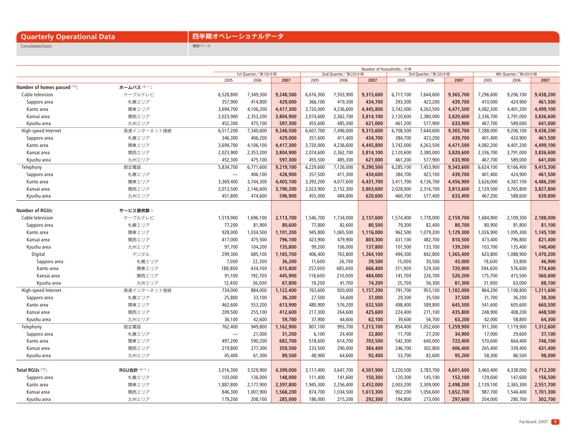# **Quarterly Operational Data**

## 四半期オペレーショナルデータ

連結ベース

Consolidated basis

|                              |                | Number of Households/世帯  |                                        |           |           |                   |                     |                           |                   |                                   |           |                   |                    |
|------------------------------|----------------|--------------------------|----------------------------------------|-----------|-----------|-------------------|---------------------|---------------------------|-------------------|-----------------------------------|-----------|-------------------|--------------------|
|                              |                |                          | 1st Quarter/第1四半期<br>2nd Quarter/第2四半期 |           |           |                   |                     | 3rd Quarter/第3四半期<br>2006 | 2007              | 4th Ouarter/第4四半期<br>2005<br>2006 |           |                   |                    |
| Number of homes passed (*1): | ホームパス(注)1:     | 2005                     | 2006                                   | 2007      | 2005      | 2006              | 2007                | 2005                      |                   |                                   |           |                   | 2007               |
| Cable television             | ケーブルテレビ        | 6,528,800                | 7,349,300                              | 9,248,500 | 6,616,300 | 7,503,900         | 9,315,600           | 6,717,100                 | 7,644,600         | 9,365,700                         | 7,296,600 | 9,206,100         | 9,438,200          |
|                              |                | 357,900                  | 414,800                                | 429,000   | 366,100   | 419,300           | 434,700             | 393,300                   | 423,200           | 439,700                           | 410,000   | 424,900           | 461,500            |
| Sapporo area                 | 札幌エリア<br>関東エリア |                          |                                        |           |           |                   |                     |                           |                   |                                   |           |                   |                    |
| Kanto area                   |                | 3,694,700                | 4,106,200                              | 4,417,300 | 3,720,000 | 4,236,600         | 4,445,800           | 3,742,000                 | 4,263,500         | 4,471,500                         | 4,082,200 | 4,401,200         | 4,499,100          |
| Kansai area                  | 関西エリア          | 2,023,900                | 2,353,200                              | 3,804,900 | 2,074,600 | 2,362,700         | 3,814,100           | 2,120,600                 | 2,380,000         | 3,820,600                         | 2,336,700 | 3,791,000         | 3,836,600          |
| Kyushu area                  | 九州エリア          | 452,300                  | 475,100                                | 597,300   | 455,600   | 485,300           | 621,000             | 461,200                   | 577,900           | 633,900                           | 467,700   | 589,000           | 641,000            |
| High-speed Internet          | 高速インターネット接続    | 6,517,200                | 7,340,600                              | 9,248,500 | 6,607,700 | 7,496,000         | 9,315,600           | 6,708,500                 | 7,644,600         | 9,365,700                         | 7,288,000 | 9,206,100         | 9,438,200          |
| Sapporo area                 | 札幌エリア          | 346,300                  | 406,200                                | 429,000   | 357,600   | 411,400           | 434,700             | 384,700                   | 423,200           | 439,700                           | 401,400   | 424,900           | 461,500            |
| Kanto area                   | 関東エリア          | 3,694,700                | 4,106,100                              | 4,417,300 | 3,720,000 | 4,236,600         | 4,445,800           | 3,742,000                 | 4,263,500         | 4,471,500                         | 4,082,200 | 4,401,200         | 4,499,100          |
| Kansai area                  | 関西エリア          | 2,023,900                | 2,353,200                              | 3,804,900 | 2,074,600 | 2,362,700         | 3,814,100           | 2,120,600                 | 2,380,000         | 3,820,600                         | 2,336,700 | 3,791,000         | 3,836,600          |
| Kyushu area                  | 九州エリア          | 452,300                  | 475.100                                | 597,300   | 455,500   | 485,300           | 621,000             | 461,200                   | 577,900           | 633,900                           | 467,700   | 589.000           | 641,000            |
| Telephony                    | 固定電話           | 5,834,700                | 6,771,600                              | 9,219,100 | 6,229,600 | 7,126,000         | 9,290,500           | 6,285,100                 | 7,453,900         | 9,343,600                         | 6,624,100 | 9,166,400         | 9,415,300          |
| Sapporo area                 | 札幌エリア          | $\overline{\phantom{a}}$ | 406,100                                | 428,900   | 357,500   | 411,300           | 434,600             | 384,700                   | 423,100           | 439,700                           | 401,400   | 424,900           | 461,500            |
| Kanto area                   | 関東エリア          | 3,369,400                | 3,744,300                              | 4,403,100 | 3,393,200 | 4,077,600         | 4,431,700           | 3,411,700                 | 4,136,700         | 4,456,900                         | 3,626,000 | 4,387,100         | 4,486,200          |
| Kansai area                  | 関西エリア          | 2,013,500                | 2,146,600                              | 3,790,200 | 2,023,900 | 2,152,300         | 3,803,600           | 2,028,000                 | 2,316,700         | 3,813,600                         | 2,129,500 | 3,765,800         | 3,827,800          |
| Kyushu area                  | 九州エリア          | 451,800                  | 474,600                                | 596,900   | 455,000   | 484,800           | 620,600             | 460,700                   | 577,400           | 633,400                           | 467,200   | 588,600           | 639,800            |
| <b>Number of RGUs:</b>       | サービス提供数:       |                          |                                        |           |           |                   |                     |                           |                   |                                   |           |                   |                    |
| Cable television             | ケーブルテレビ        | 1.519.900                | 1.696.100                              | 2,113,700 | 1,546,700 | 1,734,000         | 2,137,600           | 1,574,400                 | 1,778,000         | 2,159,700                         | 1.684.900 | 2,109,300         | 2,188,000          |
| Sapporo area                 | 札幌エリア          | 77,200                   | 81,900                                 | 80,600    | 77,800    | 82,600            | 80,500              | 79,300                    | 82,400            | 80,700                            | 80,900    | 81,800            | 81,100             |
| Kanto area                   | 関東エリア          | 928,000                  | 1,034,500                              | 1,101,200 | 945,800   | 1,065,500         | 1,116,000           | 962,500                   | 1,079,200         | 1,129,300                         | 1,026,900 | 1,095,300         | 1,145,100          |
| Kansai area                  | 関西エリア          | 417,000                  | 475,500                                | 796,100   | 423,900   | 479,900           | 803,300             | 431,100                   | 482,700           | 810,500                           | 473,400   | 796,800           | 821,400            |
| Kyushu area                  | 九州エリア          | 97,700                   | 104,200                                | 135,800   | 99,200    | 106,000           | 137,800             | 101,500                   | 133,700           | 139,200                           | 103,700   | 135,400           | 140,400            |
| Digital                      | デジタル           | 299,300                  | 685,100                                | 1,165,700 | 406,400   | 763,800           | 1,264,100           | 494,300                   | 842,800           | 1,365,400                         | 620,800   | 1,088,900         | 1,470,200          |
|                              | 札幌エリア          | 7,000                    | 22,300                                 | 36,200    | 11,600    | 26,700            | 39,500              | 15,000                    | 30,500            | 43,000                            | 18,600    | 33,800            | 46,900             |
| Sapporo area<br>Kanto area   | 関東エリア          | 188,800                  | 434,100                                | 615,800   | 257,000   | 485,400           | 666,400             | 311,900                   | 529,300           | 720,900                           | 394,600   | 576,600           | 774,600            |
| Kansai area                  |                | 91,100                   | 192,700                                | 445,900   | 118,600   | 210,000           |                     | 141,700                   | 226,700           | 520,200                           | 175,700   |                   | 560,600            |
|                              | 関西エリア<br>九州エリア | 12,400                   | 36.000                                 | 67,800    | 19.200    |                   | 484,000             |                           |                   |                                   | 31,900    | 415,500<br>63.000 | 88,100             |
| Kyushu area                  |                | 734,000                  | 884,000                                | 1,122,400 | 763,600   | 41,700<br>920,000 | 74,200<br>1,157,200 | 25,700<br>791,700         | 56,300<br>953,100 | 81,300<br>1,182,000               | 864,200   | 1,108,800         |                    |
| High-speed Internet          | 高速インターネット接続    |                          |                                        |           |           |                   |                     |                           |                   |                                   |           |                   | 1,211,600          |
| Sapporo area                 | 札幌エリア          | 25,800                   | 33,100                                 | 36,200    | 27,500    | 34,600            | 37,000              | 29,300                    | 35,500            | 37,500                            | 31,700    | 36,200            | 38,300             |
| Kanto area<br>Kansai area    | 関東エリア          | 462,600                  | 553.200                                | 613,900   | 480,900   | 576,200           | 632,500             | 498,400                   | 589,800           | 645,500                           | 541,600   | 605,600           | 660,500<br>448,500 |
|                              | 関西エリア          | 209,500                  | 255,100                                | 412,600   | 217,300   | 264,600           | 425,600             | 224,400                   | 271,100           | 435,800                           | 248,900   | 408,200           |                    |
| Kyushu area                  | 九州エリア          | 36.100                   | 42.600                                 | 59,700    | 37.900    | 44,600            | 62,100              | 39,600                    | 56,700            | 63,200                            | 42,000    | 58,800            | 64,300             |
| Telephony                    | 固定電話           | 762,400                  | 949,800                                | 1,162,900 | 807,100   | 993,700           | 1,213,100           | 854,400                   | 1,052,600         | 1,259,900                         | 911,300   | 1,119,900         | 1,312,600          |
| Sapporo area                 | 札幌エリア          |                          | 21,000                                 | 31,200    | 6,100     | 24,400            | 32,800              | 11,700                    | 27,200            | 34,900                            | 17,000    | 29,600            | 37,100             |
| Kanto area                   | 関東エリア          | 497,200                  | 590,200                                | 682,700   | 518,600   | 614,700           | 703,500             | 542,300                   | 640,000           | 723,400                           | 570,600   | 664,400           | 746,100            |
| Kansai area                  | 関西エリア          | 219,800                  | 277,300                                | 359,500   | 233,500   | 290,000           | 384,400             | 246,700                   | 302,800           | 406,400                           | 265,400   | 339,400           | 431,400            |
| Kyushu area                  | 九州エリア          | 45,400                   | 61,300                                 | 89,500    | 48,900    | 64,600            | 92,400              | 53,700                    | 82,600            | 95,200                            | 58,300    | 86,500            | 98,000             |
| Total RGUs <sup>(*2)</sup> : | RGU合計(注) 2:    | 3,016,300                | 3,529,900                              | 4,399,000 | 3,117,400 | 3,647,700         | 4,507,900           | 3,220,500                 | 3,783,700         | 4,601,600                         | 3,460,400 | 4,338,000         | 4,712,200          |
| Sapporo area                 | 札幌エリア          | 103,000                  | 136,000                                | 148,000   | 111,400   | 141,600           | 150,300             | 120,300                   | 145,100           | 153,100                           | 129,600   | 147,600           | 156,500            |
| Kanto area                   | 関東エリア          | 1,887,800                | 2,177,900                              | 2,397,800 | 1,945,300 | 2,256,400         | 2,452,000           | 2,003,200                 | 2,309,000         | 2,498,200                         | 2,139,100 | 2,365,300         | 2,551,700          |
| Kansai area                  | 関西エリア          | 846,300                  | 1,007,900                              | 1,568,200 | 874,700   | 1,034,500         | 1,613,300           | 902,200                   | 1,056,600         | 1,652,700                         | 987,700   | 1,544,400         | 1,701,300          |
| Kyushu area                  | 九州エリア          | 179,200                  | 208,100                                | 285,000   | 186,000   | 215,200           | 292,300             | 194,800                   | 273,000           | 297,600                           | 204,000   | 280,700           | 302,700            |
|                              |                |                          |                                        |           |           |                   |                     |                           |                   |                                   |           |                   |                    |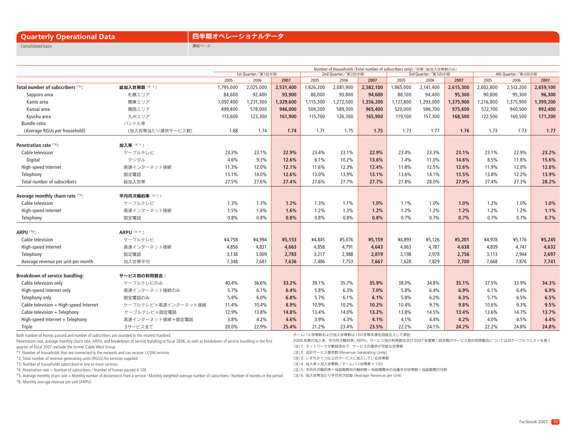## **Quarterly Operational Data**

## 四半期オペレーショナルデータ

連結ベース

Consolidated basis

|                                        |                         | Number of Households (Total number of subscribers only) /世帯 (総加入世帯数のみ) |                                                             |           |           |           |                   |           |           |           |           |           |           |
|----------------------------------------|-------------------------|------------------------------------------------------------------------|-------------------------------------------------------------|-----------|-----------|-----------|-------------------|-----------|-----------|-----------|-----------|-----------|-----------|
|                                        |                         |                                                                        | 1st Quarter/第1四半期<br>2nd Ouarter/第2四半期<br>3rd Ouarter/第3四半期 |           |           |           | 4th Quarter/第4四半期 |           |           |           |           |           |           |
|                                        |                         | 2005                                                                   | 2006                                                        | 2007      | 2005      | 2006      | 2007              | 2005      | 2006      | 2007      | 2005      | 2006      | 2007      |
| Total number of subscribers (*3):      | 総加入世帯数(注) 3:            | 1,795,000                                                              | 2,025,000                                                   | 2,531,400 | ,826,200  | 2,081,900 | 2,582,100         | 1,865,000 | 2,141,400 | 2,615,300 | 2,002,800 | 2,512,200 | 2,659,100 |
| Sapporo area                           | 札幌エリア                   | 84,600                                                                 | 92,400                                                      | 93,900    | 86,000    | 93,800    | 94,600            | 88,100    | 94,400    | 95,300    | 90,800    | 95,300    | 96,300    |
| Kanto area                             | 関東エリア                   | 1,097,400                                                              | 1,231,300                                                   | 1,329,600 | 1,115,300 | 1,272,500 | 1,356,200         | 1,137,800 | 1,293,000 | 1,375,900 | 1,216,800 | 1,375,900 | 1,399,200 |
| Kansai area                            | 関西エリア                   | 499,400                                                                | 578,000                                                     | 946,000   | 509,200   | 589,300   | 965,400           | 520,000   | 596,700   | 975,600   | 572,700   | 940,500   | 992,400   |
| Kyushu area                            | 九州エリア                   | 113,600                                                                | 123,300                                                     | 161,900   | 115,700   | 126,300   | 165,900           | 119,100   | 157,300   | 168,500   | 122,500   | 160,500   | 171,200   |
| <b>Bundle ratio</b>                    | バンドル率                   |                                                                        |                                                             |           |           |           |                   |           |           |           |           |           |           |
| (Average RGUs per household)           | (加入世帯当たり提供サービス数)        | 1.68                                                                   | 1.74                                                        | 1.74      | 1.71      | 1.75      | 1.75              | 1.73      | 1.77      | 1.76      | 1.73      | 1.73      | 1.77      |
| Penetration rate (*4):                 | 加入率(注) 4:               |                                                                        |                                                             |           |           |           |                   |           |           |           |           |           |           |
| Cable television                       | ケーブルテレビ                 | 23.3%                                                                  | 23.1%                                                       | 22.9%     | 23.4%     | 23.1%     | 22.9%             | 23.4%     | 23.3%     | 23.1%     | 23.1%     | 22.9%     | 23.2%     |
| Digital                                | デジタル                    | 4.6%                                                                   | 9.3%                                                        | 12.6%     | 6.1%      | 10.2%     | 13.6%             | 7.4%      | 11.0%     | 14.6%     | 8.5%      | 11.8%     | 15.6%     |
| High-speed Internet                    | 高速インターネット接続             | 11.3%                                                                  | 12.0%                                                       | 12.1%     | 11.6%     | 12.3%     | 12.4%             | 11.8%     | 12.5%     | 12.6%     | 11.9%     | 12.0%     | 12.8%     |
| Telephony                              | 固定電話                    | 13.1%                                                                  | 14.0%                                                       | 12.6%     | 13.0%     | 13.9%     | 13.1%             | 13.6%     | 14.1%     | 13.5%     | 13.8%     | 12.2%     | 13.9%     |
| Total number of subscribers            | 総加入世帯                   | 27.5%                                                                  | 27.6%                                                       | 27.4%     | 27.6%     | 27.7%     | 27.7%             | 27.8%     | 28.0%     | 27.9%     | 27.4%     | 27.3%     | 28.2%     |
| Average monthly churn rate (*5):       | 平均月次解約率(注)5:            |                                                                        |                                                             |           |           |           |                   |           |           |           |           |           |           |
| Cable television                       | ケーブルテレビ                 | 1.3%                                                                   | 1.3%                                                        | 1.2%      | 1.3%      | 1.1%      | 1.0%              | 1.1%      | 1.0%      | 1.0%      | 1.2%      | 1.0%      | 1.0%      |
| High-speed Internet                    | 高速インターネット接続             | 1.5%                                                                   | 1.6%                                                        | 1.6%      | 1.2%      | 1.3%      | 1.2%              | 1.2%      | 1.2%      | 1.2%      | 1.2%      | 1.2%      | 1.1%      |
| Telephony                              | 固定電話                    | 0.8%                                                                   | 0.8%                                                        | 0.8%      | 0.8%      | 0.8%      | 0.8%              | 0.7%      | 0.7%      | 0.7%      | 0.7%      | 0.7%      | 0.7%      |
|                                        |                         |                                                                        |                                                             |           |           |           |                   |           |           |           |           |           |           |
| ARPU (*6):                             | ARPU <sup>(注) 6</sup> : |                                                                        |                                                             |           |           |           |                   |           |           |           |           |           |           |
| Cable television                       | ケーブルテレビ                 | ¥4.758                                                                 | ¥4,994                                                      | ¥5,153    | ¥4.845    | ¥5,076    | ¥5,159            | ¥4.893    | ¥5,126    | ¥5,201    | ¥4.978    | ¥5,176    | ¥5,245    |
| High-speed Internet                    | 高速インターネット接続             | 4,858                                                                  | 4,831                                                       | 4,663     | 4,858     | 4,791     | 4,643             | 4,863     | 4,787     | 4,638     | 4,839     | 4,747     | 4,632     |
| Telephony                              | 固定電話                    | 3,138                                                                  | 3,009                                                       | 2,783     | 3,217     | 2,988     | 2,819             | 3,198     | 2,978     | 2,756     | 3,113     | 2,944     | 2,697     |
| Average revenue per unit per month     | 加入世帯平均                  | 7.348                                                                  | 7.681                                                       | 7,636     | 7,486     | 7,753     | 7,667             | 7,628     | 7,829     | 7,700     | 7,668     | 7,876     | 7,741     |
| Breakdown of service bundling:         | サービス別の利用割合:             |                                                                        |                                                             |           |           |           |                   |           |           |           |           |           |           |
| Cable television only                  | ケーブルテレビのみ               | 40.4%                                                                  | 36.6%                                                       | 33.2%     | 39.1%     | 35.7%     | 35.9%             | 38.0%     | 34.8%     | 35.1%     | 37.5%     | 33.9%     | 34.3%     |
| High-speed Internet only               | 高速インターネット接続のみ           | 5.7%                                                                   | 6.1%                                                        | 6.4%      | 5.8%      | 6.3%      | 7.0%              | 5.8%      | 6.4%      | 6.9%      | 6.1%      | 6.4%      | 6.9%      |
| Telephony only                         | 固定電話のみ                  | 5.8%                                                                   | 6.0%                                                        | 6.8%      | 5.7%      | 6.1%      | 6.1%              | 5.8%      | 6.2%      | 6.3%      | 5.7%      | 6.5%      | 6.5%      |
| Cable television + High-speed Internet | ケーブルテレビ+高速インターネット接続     | 11.4%                                                                  | 10.4%                                                       | 8.9%      | 10.9%     | 10.2%     | 10.2%             | 10.4%     | 9.7%      | 9.8%      | 10.6%     | 9.3%      | 9.5%      |
| Cable television + Telephony           | ケーブルテレビ+固定電話            | 12.9%                                                                  | 13.8%                                                       | 14.8%     | 13.4%     | 14.0%     | 13.2%             | 13.8%     | 14.5%     | 13.4%     | 13.6%     | 14.7%     | 13.7%     |
| High-speed Internet + Telephony        | 高速インターネット接続+固定電話        | 3.8%                                                                   | 4.2%                                                        | 4.6%      | 3.9%      | 4.3%      | 4.1%              | 4.1%      | 4.4%      | 4.2%      | 4.0%      | 4.5%      | 4.4%      |
| Triple                                 | 3サービス全て                 | 20.0%                                                                  | 22.9%                                                       | 25.4%     | 21.2%     | 23.4%     | 23.5%             | 22.2%     | 24.1%     | 24.2%     | 22.2%     | 24.8%     | 24.8%     |

Both number of homes passed and number of subscribers are rounded to the nearest hundred.

Penetration rate, average monthly churn rate, ARPU, and breakdown of service bundling in fiscal 2006, as well as breakdown of service bundling in the first quarter of fiscal 2007, exclude the former Cable West Group.

\*1. Number of households that are connected to the network and can receive J:COM services

\*2. Total number of revenue generating units (RGUs) for services supplied

\*3. Number of households subscribed to one or more services

 $*$ 4. Penetration rate = Number of subscribers / Number of homes passed X 100

\*5. Average monthly churn rate = Monthly number of disconnects from a service / Monthly weighted-average number of subscribers / Number of months in the period

\*6. Monthly average revenue per unit (ARPU)

ホームパス世帯数および加入世帯数は100世帯未満を四捨五入して表記

2006年度の加入率、平均月次解約率、ARPU、サービス別の利用割合及び2007年度第1四半期のサービス別の利用割合については旧ケーブルウエストを除く

(注)1. ネットワークが敷設済みで、サービスの提供が可能な世帯数

(注)2. 合計サービス提供数 (Revenue Generating Units)

(注)3. いずれか1つ以上のサービスに加入している世帯数

(注)4. 加入率=加入世帯数/ホームパス世帯数×100

(注)5. 平均月次解約率=当該期間中の解約数÷当該期間中の加重平均世帯数÷当該期間の月数

(注)6. 加入世帯当たり平均月次収益(Average Revenue per Unit)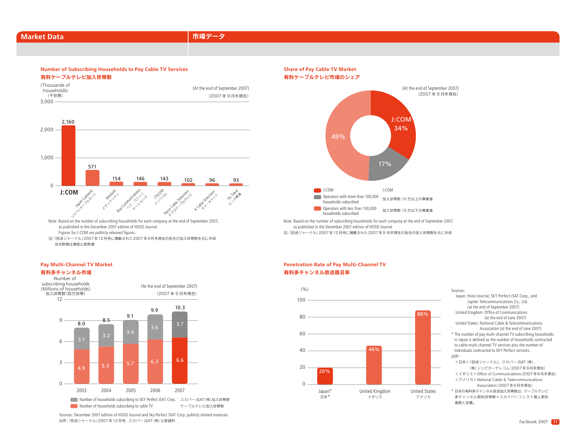## **Market Data** トランス インター・シーク トランス トランス しゅうしゅう しゅうしゅう しゅうしゅう しゅうしゅう しゅうしゅうしょう

**Number of Subscribing Households to Pay Cable TV Services**

#### 有料ケーブルテレビ加入世帯数





as published in the December 2007 edition of HOSO Journal Figures for J:COM are publicly released figures.

注)「放送ジャーナル」2007年12月号に掲載された2007年9月末現在の各社の加入世帯数を元に作成 当社数値は連結公表数値

#### **Pay Multi-Channel TV Market**

#### 有料多チャンネル市場





Sources: December 2007 edition of HOSO Journal and Sky Perfect JSAT Corp. publicly related materials 出所 :「放送ジャーナル」2007年12月号、スカパー JSAT(株)公表資料



Note: Based on the number of subscribing households for each company at the end of September 2007, as published in the December 2007 edition of HOSO Journal

注)「放送ジャーナル」2007年12月号に掲載された2007年9 月末現在の各社の加入世帯数を元に作成

#### **Penetration Rate of Pay Multi-Channel TV** 有料多チャンネル放送普及率



#### Sources: Japan: Hoso Journal, SKY Perfect JSAT Corp., and Jupiter Telecommunications Co., Ltd. (at the end of September 2007) United Kingdom: Office of Communications (at the end of June 2007) United States: National Cable & Telecommunications Association (at the end of June 2007) \* The number of pay multi-channel TV subscribing households in Japan is defined as the number of households contracted to cable multi-channel TV services plus the number of individuals contracted to SKY Perfect services. 出所: <日本>「放送ジャーナル」、スカパー JSAT(株)、

(株)ジュピターテレコム(2007年9月末現在) <イギリス>Office of Communications(2007年6月末現在) <アメリカ>National Cable & Telecommunications Association(2007年6月末現在) \* 日本の有料多チャンネル放送加入世帯数は、ケーブルテレビ 多チャンネル契約世帯数+スカイパーフェクト個人契約 者数と定義。